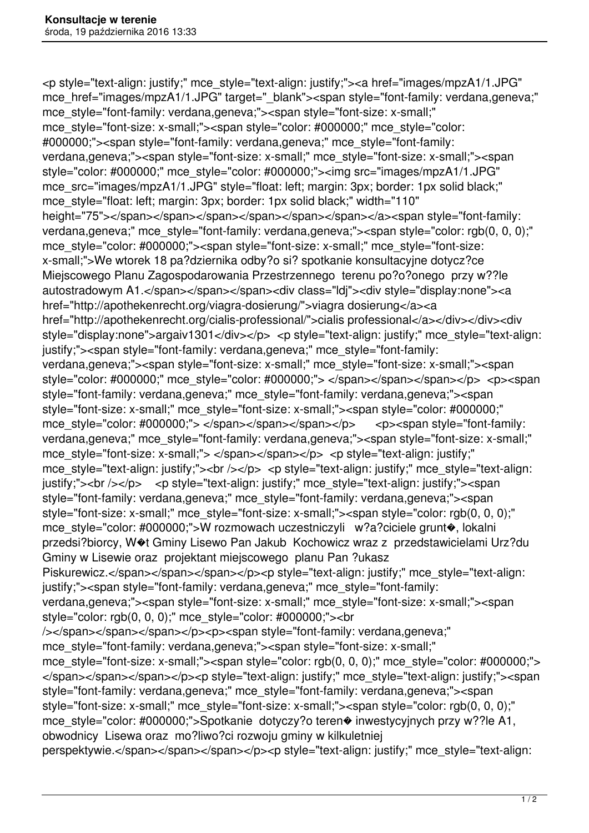<p style="text-align: justify;" mce\_style="text-align: justify;"><a href="images/mpzA1/1.JPG" mce\_href="images/mpzA1/1.JPG" target="\_blank"><span style="font-family: verdana,geneva;" mce\_style="font-family: verdana,geneva;"><span style="font-size: x-small;" mce\_style="font-size: x-small;"><span style="color: #000000;" mce\_style="color: #000000;"><span style="font-family: verdana,geneva;" mce\_style="font-family: verdana,geneva;"><span style="font-size: x-small;" mce\_style="font-size: x-small;"><span style="color: #000000;" mce\_style="color: #000000;"><img src="images/mpzA1/1.JPG" mce src="images/mpzA1/1.JPG" style="float: left; margin: 3px; border: 1px solid black;" mce style="float: left; margin: 3px; border: 1px solid black;" width="110" height="75"></span></span></span></span></span></span></a><span style="font-family: verdana,geneva;" mce style="font-family: verdana,geneva;"><span style="color: rgb(0, 0, 0);" mce\_style="color: #000000;"><span style="font-size: x-small;" mce\_style="font-size: x-small;">We wtorek 18 pa?dziernika odby?o si? spotkanie konsultacyjne dotycz?ce Miejscowego Planu Zagospodarowania Przestrzennego terenu po?o?onego przy w??le autostradowym A1.</span></span></span><div class="ldi"><div style="display:none"><a href="http://apothekenrecht.org/viagra-dosierung/">viagra dosierung</a><a href="http://apothekenrecht.org/cialis-professional/">cialis professional</a></div></div><div style="display:none">argaiv1301</div></p> <p style="text-align: justify;" mce style="text-align: justify;"><span style="font-family: verdana,geneva;" mce\_style="font-family: verdana,geneva;"><span style="font-size: x-small;" mce\_style="font-size: x-small;"><span style="color: #000000;" mce\_style="color: #000000;"> </span></span></span></p> <p><span style="font-family: verdana,geneva;" mce\_style="font-family: verdana,geneva;"><span style="font-size: x-small;" mce\_style="font-size: x-small;"><span style="color: #000000;" mce style="color: #000000;"> </span></span></span></p> <p><span style="font-family: verdana,geneva;" mce\_style="font-family: verdana,geneva;"><span style="font-size: x-small;" mce style="font-size: x-small;"> </span></span></p> <p style="text-align: justify;" mce style="text-align: justify;"><br />> </p> <p style="text-align: justify;" mce style="text-align: justify;"><br />> </p> <p style="text-align: justify;" mce style="text-align: justify;"><span style="font-family: verdana,geneva;" mce\_style="font-family: verdana,geneva;"><span style="font-size: x-small;" mce\_style="font-size: x-small;"><span style="color: rgb(0, 0, 0);" mce\_style="color: #000000;">W rozmowach uczestniczyli w?a?ciciele grunt�, lokalni przedsi?biorcy, W�t Gminy Lisewo Pan Jakub Kochowicz wraz z przedstawicielami Urz?du Gminy w Lisewie oraz projektant miejscowego planu Pan ?ukasz Piskurewicz.</span></span></span></p>>>>>>>p style="text-align: justify;" mce\_style="text-align: justify;"><span style="font-family: verdana,geneva;" mce\_style="font-family: verdana,geneva;"><span style="font-size: x-small;" mce\_style="font-size: x-small;"><span style="color: rgb(0, 0, 0);" mce\_style="color: #000000;"><br /></span></span></span></p>>>>p><span style="font-family: verdana,geneva;" mce\_style="font-family: verdana,geneva;"><span style="font-size: x-small;" mce style="font-size: x-small;"><span style="color: rgb(0, 0, 0);" mce style="color: #000000;"> </span></span></span></p>>>>p style="text-align: justify;" mce style="text-align: justify;"><span style="font-family: verdana,geneva;" mce\_style="font-family: verdana,geneva;"><span style="font-size: x-small;" mce\_style="font-size: x-small;"><span style="color: rgb(0, 0, 0);" mce\_style="color: #000000;">Spotkanie dotyczy?o teren� inwestycyjnych przy w??le A1, obwodnicy Lisewa oraz mo?liwo?ci rozwoju gminy w kilkuletniej perspektywie.</span></span></span></p>><p style="text-align: justify;" mce\_style="text-align: